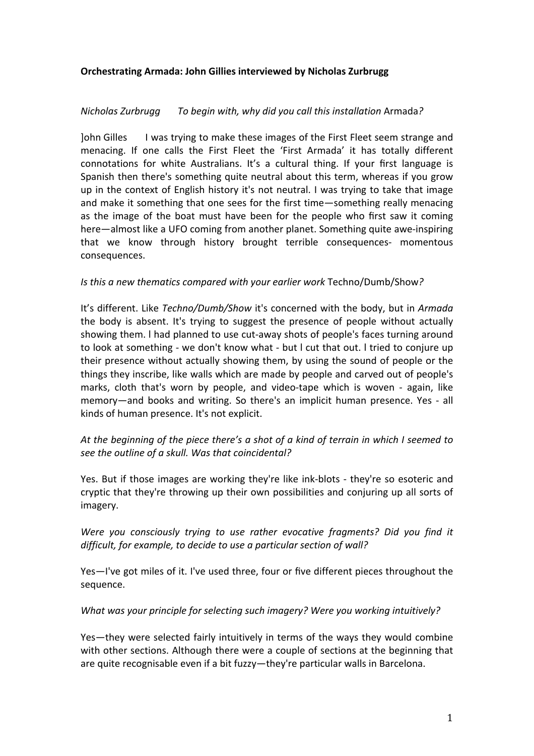## **Orchestrating Armada: John Gillies interviewed by Nicholas Zurbrugg**

## *Nicholas Zurbrugg To begin with, why did you call this installation Armada?*

]ohn Gilles I was trying to make these images of the First Fleet seem strange and menacing. If one calls the First Fleet the 'First Armada' it has totally different connotations for white Australians. It's a cultural thing. If your first language is Spanish then there's something quite neutral about this term, whereas if you grow up in the context of English history it's not neutral. I was trying to take that image and make it something that one sees for the first time—something really menacing as the image of the boat must have been for the people who first saw it coming here—almost like a UFO coming from another planet. Something quite awe-inspiring that we know through history brought terrible consequences- momentous consequences.

### *Is* this a new thematics compared with your earlier work Techno/Dumb/Show?

It's different. Like *Techno/Dumb/Show* it's concerned with the body, but in Armada the body is absent. It's trying to suggest the presence of people without actually showing them. I had planned to use cut-away shots of people's faces turning around to look at something - we don't know what - but I cut that out. I tried to conjure up their presence without actually showing them, by using the sound of people or the things they inscribe, like walls which are made by people and carved out of people's marks, cloth that's worn by people, and video-tape which is woven - again, like memory—and books and writing. So there's an implicit human presence. Yes - all kinds of human presence. It's not explicit.

## At the beginning of the piece there's a shot of a kind of terrain in which I seemed to *see the outline of a skull. Was that coincidental?*

Yes. But if those images are working they're like ink-blots - they're so esoteric and cryptic that they're throwing up their own possibilities and conjuring up all sorts of imagery.

# *Were* you consciously trying to use rather evocative fragments? Did you find it difficult, for example, to decide to use a particular section of wall?

Yes—I've got miles of it. I've used three, four or five different pieces throughout the sequence.

### *What* was your principle for selecting such imagery? Were you working intuitively?

Yes—they were selected fairly intuitively in terms of the ways they would combine with other sections. Although there were a couple of sections at the beginning that are quite recognisable even if a bit fuzzy—they're particular walls in Barcelona.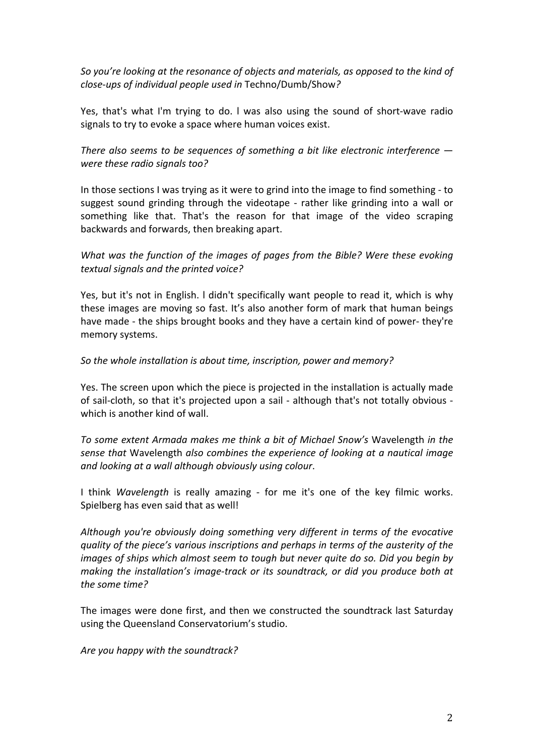*So you're looking at the resonance of objects and materials, as opposed to the kind of close-ups of individual people used in* Techno/Dumb/Show*?*

Yes, that's what I'm trying to do. I was also using the sound of short-wave radio signals to try to evoke a space where human voices exist.

*There also seems to be sequences of something a bit like electronic interference were these radio signals too?* 

In those sections I was trying as it were to grind into the image to find something - to suggest sound grinding through the videotape - rather like grinding into a wall or something like that. That's the reason for that image of the video scraping backwards and forwards, then breaking apart.

*What* was the function of the images of pages from the Bible? Were these evoking *textual signals and the printed voice?*

Yes, but it's not in English. I didn't specifically want people to read it, which is why these images are moving so fast. It's also another form of mark that human beings have made - the ships brought books and they have a certain kind of power- they're memory systems.

So the whole installation is about time, inscription, power and memory?

Yes. The screen upon which the piece is projected in the installation is actually made of sail-cloth, so that it's projected upon a sail - although that's not totally obvious which is another kind of wall.

*To* some extent Armada makes me think a bit of Michael Snow's Wavelength in the *sense that* Wavelength *also combines the experience of looking at a nautical image* and looking at a wall although obviously using colour.

I think *Wavelength* is really amazing - for me it's one of the key filmic works. Spielberg has even said that as well!

Although you're obviously doing something very different in terms of the evocative *quality* of the piece's various inscriptions and perhaps in terms of the austerity of the *images* of ships which almost seem to tough but never quite do so. Did you begin by *making the installation's image-track or its soundtrack, or did you produce both at the some time?*

The images were done first, and then we constructed the soundtrack last Saturday using the Queensland Conservatorium's studio.

Are you happy with the soundtrack?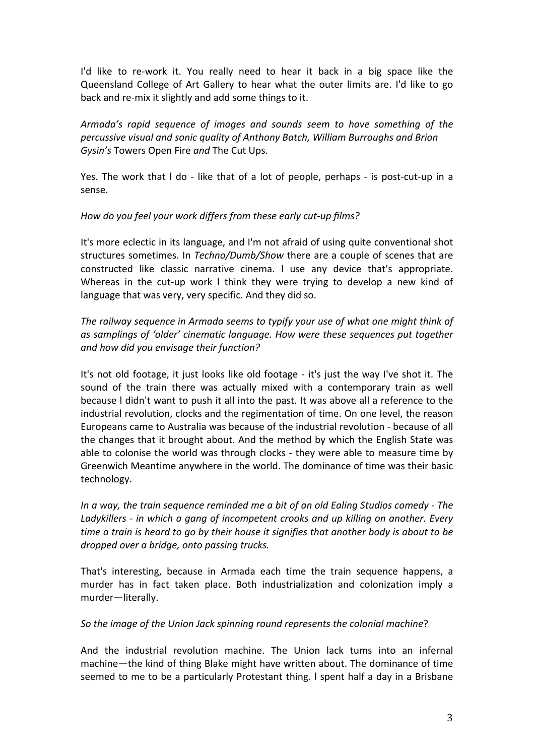I'd like to re-work it. You really need to hear it back in a big space like the Queensland College of Art Gallery to hear what the outer limits are. I'd like to go back and re-mix it slightly and add some things to it.

*Armada's rapid sequence of images and sounds seem to have something of the percussive visual and sonic quality of Anthony Batch, William Burroughs and Brion Gysin's* Towers Open Fire *and* The Cut Ups.

Yes. The work that I do - like that of a lot of people, perhaps - is post-cut-up in a sense.

## *How do you feel your work differs from these early cut-up films?*

It's more eclectic in its language, and I'm not afraid of using quite conventional shot structures sometimes. In *Techno/Dumb/Show* there are a couple of scenes that are constructed like classic narrative cinema. I use any device that's appropriate. Whereas in the cut-up work I think they were trying to develop a new kind of language that was very, very specific. And they did so.

The railway sequence in Armada seems to typify your use of what one might think of as samplings of 'older' cinematic language. How were these sequences put together *and how did you envisage their function?*

It's not old footage, it just looks like old footage - it's just the way I've shot it. The sound of the train there was actually mixed with a contemporary train as well because I didn't want to push it all into the past. It was above all a reference to the industrial revolution, clocks and the regimentation of time. On one level, the reason Europeans came to Australia was because of the industrial revolution - because of all the changes that it brought about. And the method by which the English State was able to colonise the world was through clocks - they were able to measure time by Greenwich Meantime anywhere in the world. The dominance of time was their basic technology.

*In a way, the train sequence reminded me a bit of an old Ealing Studios comedy - The Ladykillers - in which a gang of incompetent crooks and up killing on another. Every time* a *train* is heard to go by their house it signifies that another body is about to be *dropped over a bridge, onto passing trucks.* 

That's interesting, because in Armada each time the train sequence happens, a murder has in fact taken place. Both industrialization and colonization imply a murder—literally.

### So the image of the Union Jack spinning round represents the colonial machine?

And the industrial revolution machine. The Union lack tums into an infernal machine—the kind of thing Blake might have written about. The dominance of time seemed to me to be a particularly Protestant thing. I spent half a day in a Brisbane